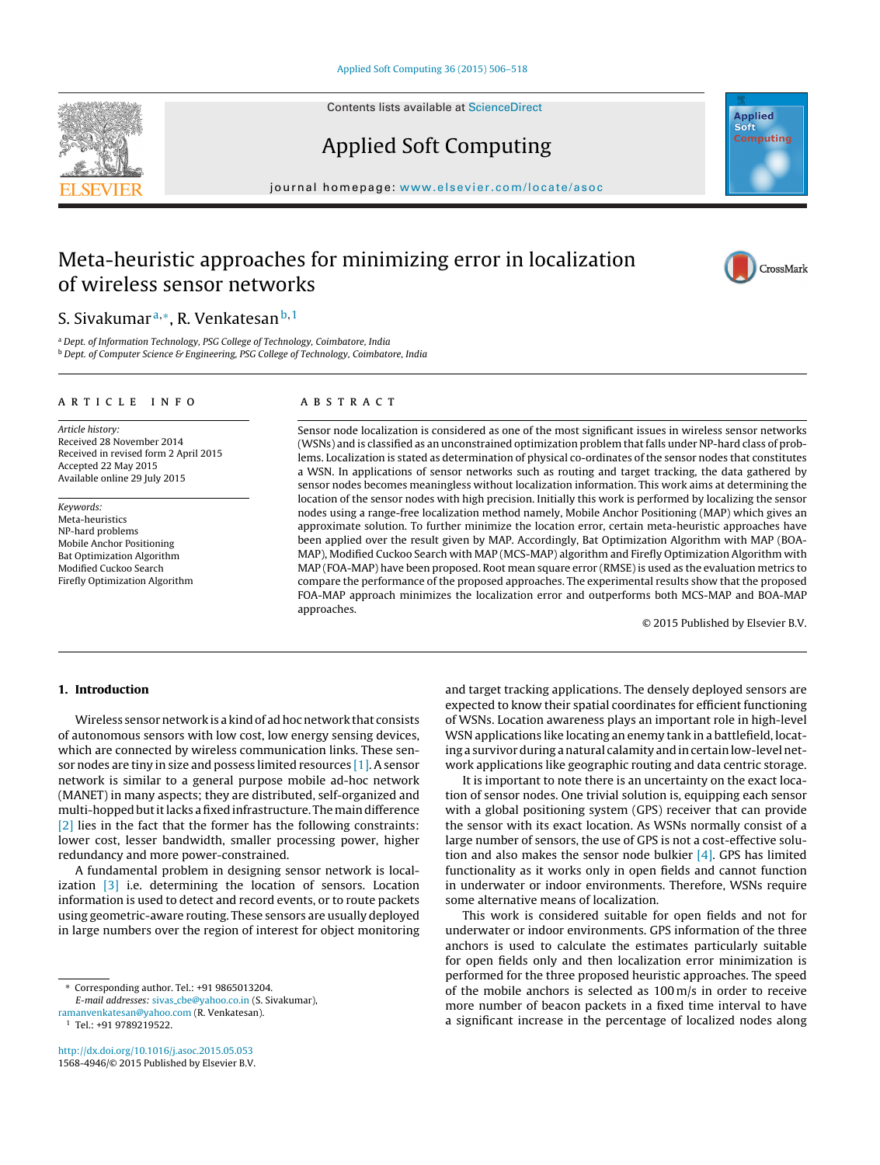Contents lists available at [ScienceDirect](http://www.sciencedirect.com/science/journal/15684946)

## Applied Soft Computing

iournal homepage: <www.elsevier.com/locate/asoc>

## Meta-heuristic approaches for minimizing error in localization of wireless sensor networks

### S. Sivakumar<sup>a,∗</sup>, R. Venkatesan<sup>b,1</sup>

<sup>a</sup> Dept. of Information Technology, PSG College of Technology, Coimbatore, India b Dept. of Computer Science & Engineering, PSG College of Technology, Coimbatore, India

#### a r t i c l e i n f o

Article history: Received 28 November 2014 Received in revised form 2 April 2015 Accepted 22 May 2015 Available online 29 July 2015

Keywords: Meta-heuristics NP-hard problems Mobile Anchor Positioning Bat Optimization Algorithm Modified Cuckoo Search Firefly Optimization Algorithm

#### A B S T R A C T

Sensor node localization is considered as one of the most significant issues in wireless sensor networks (WSNs) and is classified as an unconstrained optimization problem thatfalls under NP-hard class of problems. Localization is stated as determination of physical co-ordinates of the sensor nodes that constitutes a WSN. In applications of sensor networks such as routing and target tracking, the data gathered by sensor nodes becomes meaningless without localization information. This work aims at determining the location of the sensor nodes with high precision. Initially this work is performed by localizing the sensor nodes using a range-free localization method namely, Mobile Anchor Positioning (MAP) which gives an approximate solution. To further minimize the location error, certain meta-heuristic approaches have been applied over the result given by MAP. Accordingly, Bat Optimization Algorithm with MAP (BOA-MAP), Modified Cuckoo Search with MAP (MCS-MAP) algorithm and Firefly Optimization Algorithm with MAP (FOA-MAP) have been proposed. Root mean square error (RMSE) is used as the evaluation metrics to compare the performance of the proposed approaches. The experimental results show that the proposed FOA-MAP approach minimizes the localization error and outperforms both MCS-MAP and BOA-MAP approaches.

© 2015 Published by Elsevier B.V.

### **1. Introduction**

Wireless sensor network is a kind of ad hoc network that consists of autonomous sensors with low cost, low energy sensing devices, which are connected by wireless communication links. These sensor nodes are tiny in size and possess limited resources [\[1\].](#page--1-0) A sensor network is similar to a general purpose mobile ad-hoc network (MANET) in many aspects; they are distributed, self-organized and multi-hopped but it lacks a fixed infrastructure. The main difference [\[2\]](#page--1-0) lies in the fact that the former has the following constraints: lower cost, lesser bandwidth, smaller processing power, higher redundancy and more power-constrained.

A fundamental problem in designing sensor network is local-ization [\[3\]](#page--1-0) i.e. determining the location of sensors. Location information is used to detect and record events, or to route packets using geometric-aware routing. These sensors are usually deployed in large numbers over the region of interest for object monitoring

[http://dx.doi.org/10.1016/j.asoc.2015.05.053](dx.doi.org/10.1016/j.asoc.2015.05.053) 1568-4946/© 2015 Published by Elsevier B.V.

and target tracking applications. The densely deployed sensors are expected to know their spatial coordinates for efficient functioning of WSNs. Location awareness plays an important role in high-level WSN applications like locating an enemy tank in a battlefield, locating a survivor during a natural calamity and in certain low-level network applications like geographic routing and data centric storage.

It is important to note there is an uncertainty on the exact location of sensor nodes. One trivial solution is, equipping each sensor with a global positioning system (GPS) receiver that can provide the sensor with its exact location. As WSNs normally consist of a large number of sensors, the use of GPS is not a cost-effective solution and also makes the sensor node bulkier  $[4]$ . GPS has limited functionality as it works only in open fields and cannot function in underwater or indoor environments. Therefore, WSNs require some alternative means of localization.

This work is considered suitable for open fields and not for underwater or indoor environments. GPS information of the three anchors is used to calculate the estimates particularly suitable for open fields only and then localization error minimization is performed for the three proposed heuristic approaches. The speed of the mobile anchors is selected as 100 m/s in order to receive more number of beacon packets in a fixed time interval to have a significant increase in the percentage of localized nodes along







<sup>∗</sup> Corresponding author. Tel.: +91 9865013204.

E-mail addresses: sivas [cbe@yahoo.co.in](mailto:sivas_cbe@yahoo.co.in) (S. Sivakumar),

[ramanvenkatesan@yahoo.com](mailto:ramanvenkatesan@yahoo.com) (R. Venkatesan).

<sup>1</sup> Tel.: +91 9789219522.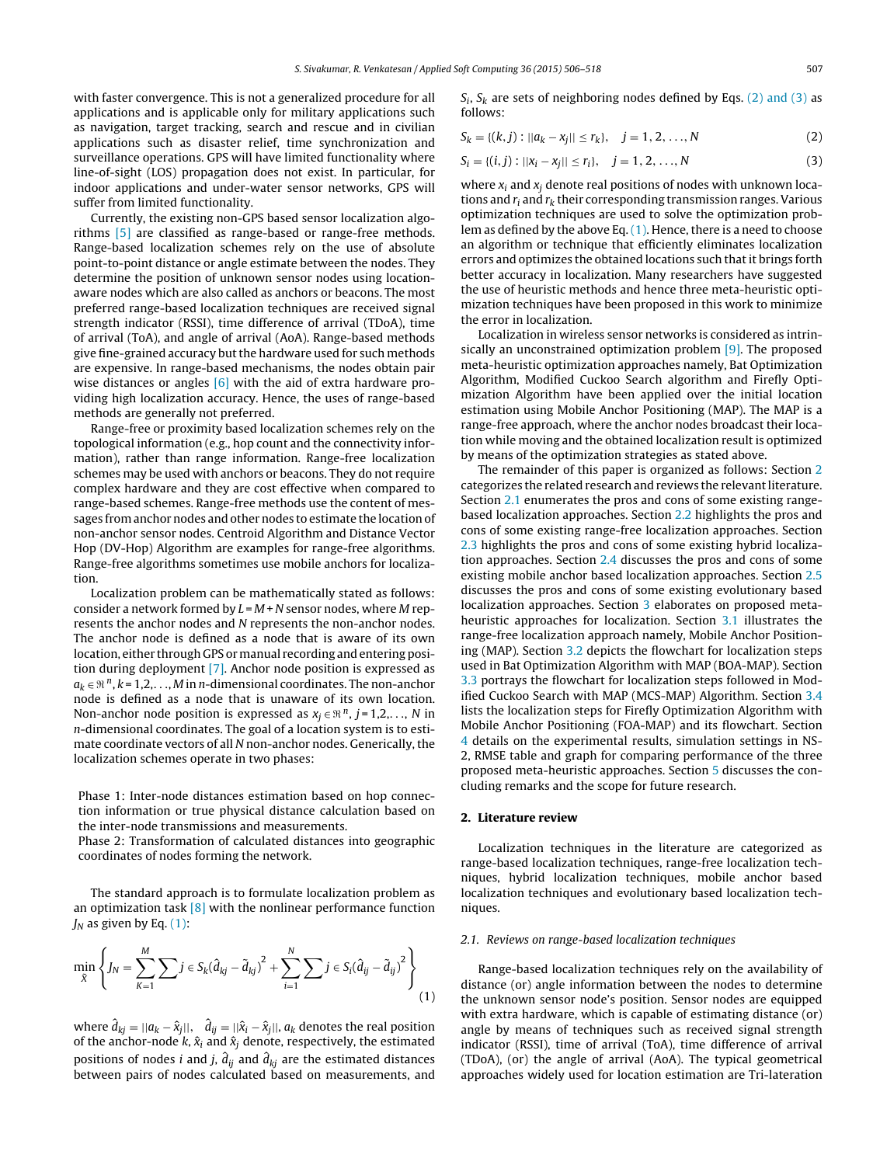with faster convergence. This is not a generalized procedure for all applications and is applicable only for military applications such as navigation, target tracking, search and rescue and in civilian applications such as disaster relief, time synchronization and surveillance operations. GPS will have limited functionality where line-of-sight (LOS) propagation does not exist. In particular, for indoor applications and under-water sensor networks, GPS will suffer from limited functionality.

Currently, the existing non-GPS based sensor localization algorithms [\[5\]](#page--1-0) are classified as range-based or range-free methods. Range-based localization schemes rely on the use of absolute point-to-point distance or angle estimate between the nodes. They determine the position of unknown sensor nodes using locationaware nodes which are also called as anchors or beacons. The most preferred range-based localization techniques are received signal strength indicator (RSSI), time difference of arrival (TDoA), time of arrival (ToA), and angle of arrival (AoA). Range-based methods give fine-grained accuracy but the hardware used for such methods are expensive. In range-based mechanisms, the nodes obtain pair wise distances or angles [\[6\]](#page--1-0) with the aid of extra hardware providing high localization accuracy. Hence, the uses of range-based methods are generally not preferred.

Range-free or proximity based localization schemes rely on the topological information (e.g., hop count and the connectivity information), rather than range information. Range-free localization schemes may be used with anchors or beacons. They do not require complex hardware and they are cost effective when compared to range-based schemes. Range-free methods use the content of messages from anchor nodes and other nodes to estimate the location of non-anchor sensor nodes. Centroid Algorithm and Distance Vector Hop (DV-Hop) Algorithm are examples for range-free algorithms. Range-free algorithms sometimes use mobile anchors for localization.

Localization problem can be mathematically stated as follows: consider a network formed by  $L = M + N$  sensor nodes, where M represents the anchor nodes and N represents the non-anchor nodes. The anchor node is defined as a node that is aware of its own location, either through GPS or manual recording and entering position during deployment [\[7\].](#page--1-0) Anchor node position is expressed as  $a_k \in \mathbb{R}^n$ ,  $k = 1, 2, \ldots, M$  in n-dimensional coordinates. The non-anchor node is defined as a node that is unaware of its own location. Non-anchor node position is expressed as  $x_i \in \mathbb{R}^n$ , j = 1,2,..., N in n-dimensional coordinates. The goal of a location system is to estimate coordinate vectors of all N non-anchor nodes. Generically, the localization schemes operate in two phases:

Phase 1: Inter-node distances estimation based on hop connection information or true physical distance calculation based on the inter-node transmissions and measurements.

Phase 2: Transformation of calculated distances into geographic coordinates of nodes forming the network.

The standard approach is to formulate localization problem as an optimization task  $[8]$  with the nonlinear performance function  $J_N$  as given by Eq. (1):

$$
\min_{\tilde{X}} \left\{ J_N = \sum_{K=1}^M \sum j \in S_K (\hat{d}_{kj} - \tilde{d}_{kj})^2 + \sum_{i=1}^N \sum j \in S_i (\hat{d}_{ij} - \tilde{d}_{ij})^2 \right\}
$$
(1)

where  $\widehat{d}_{kj} = ||a_k - \widehat{x}_j||, \;\;\widehat{d}_{ij} = ||\widehat{x}_i - \widehat{x}_j||, \, a_k$  denotes the real position of the anchor-node k,  $\hat{x}_i$  and  $\hat{x}_j$  denote, respectively, the estimated positions of nodes *i* and *j*,  $\hat{d}_{ij}$  and  $\hat{d}_{ki}$  are the estimated distances between pairs of nodes calculated based on measurements, and  $S_i$ ,  $S_k$  are sets of neighboring nodes defined by Eqs. (2) and (3) as follows:

$$
S_k = \{(k, j) : ||a_k - x_j|| \le r_k\}, \quad j = 1, 2, ..., N
$$
 (2)

$$
S_i = \{(i, j) : ||x_i - x_j|| \le r_i\}, \quad j = 1, 2, ..., N
$$
\n(3)

where  $x_i$  and  $x_j$  denote real positions of nodes with unknown locations and  $r_i$  and  $r_k$  their corresponding transmission ranges. Various optimization techniques are used to solve the optimization problem as defined by the above Eq. (1). Hence, there is a need to choose an algorithm or technique that efficiently eliminates localization errors and optimizes the obtained locations such that it brings forth better accuracy in localization. Many researchers have suggested the use of heuristic methods and hence three meta-heuristic optimization techniques have been proposed in this work to minimize the error in localization.

Localization in wireless sensor networks is considered as intrin-sically an unconstrained optimization problem [\[9\].](#page--1-0) The proposed meta-heuristic optimization approaches namely, Bat Optimization Algorithm, Modified Cuckoo Search algorithm and Firefly Optimization Algorithm have been applied over the initial location estimation using Mobile Anchor Positioning (MAP). The MAP is a range-free approach, where the anchor nodes broadcast their location while moving and the obtained localization result is optimized by means of the optimization strategies as stated above.

The remainder of this paper is organized as follows: Section 2 categorizes the related research and reviews the relevant literature. Section 2.1 enumerates the pros and cons of some existing rangebased localization approaches. Section [2.2](#page--1-0) highlights the pros and cons of some existing range-free localization approaches. Section [2.3](#page--1-0) highlights the pros and cons of some existing hybrid localization approaches. Section [2.4](#page--1-0) discusses the pros and cons of some existing mobile anchor based localization approaches. Section [2.5](#page--1-0) discusses the pros and cons of some existing evolutionary based localization approaches. Section [3](#page--1-0) elaborates on proposed metaheuristic approaches for localization. Section [3.1](#page--1-0) illustrates the range-free localization approach namely, Mobile Anchor Positioning (MAP). Section [3.2](#page--1-0) depicts the flowchart for localization steps used in Bat Optimization Algorithm with MAP (BOA-MAP). Section [3.3](#page--1-0) portrays the flowchart for localization steps followed in Modified Cuckoo Search with MAP (MCS-MAP) Algorithm. Section [3.4](#page--1-0) lists the localization steps for Firefly Optimization Algorithm with Mobile Anchor Positioning (FOA-MAP) and its flowchart. Section [4](#page--1-0) details on the experimental results, simulation settings in NS-2, RMSE table and graph for comparing performance of the three proposed meta-heuristic approaches. Section [5](#page--1-0) discusses the concluding remarks and the scope for future research.

#### **2. Literature review**

Localization techniques in the literature are categorized as range-based localization techniques, range-free localization techniques, hybrid localization techniques, mobile anchor based localization techniques and evolutionary based localization techniques.

#### 2.1. Reviews on range-based localization techniques

Range-based localization techniques rely on the availability of distance (or) angle information between the nodes to determine the unknown sensor node's position. Sensor nodes are equipped with extra hardware, which is capable of estimating distance (or) angle by means of techniques such as received signal strength indicator (RSSI), time of arrival (ToA), time difference of arrival (TDoA), (or) the angle of arrival (AoA). The typical geometrical approaches widely used for location estimation are Tri-lateration